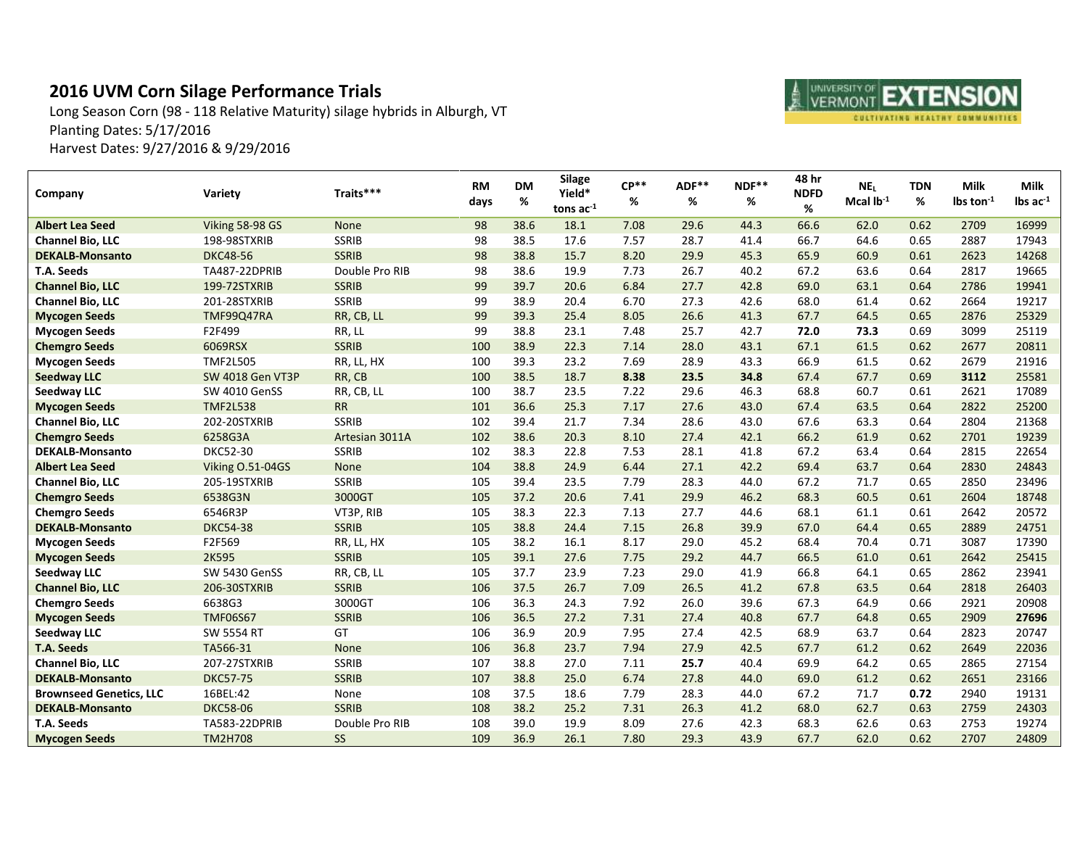## **2016 UVM Corn Silage Performance Trials**

Long Season Corn (98 - 118 Relative Maturity) silage hybrids in Alburgh, VT Planting Dates: 5/17/2016 Harvest Dates: 9/27/2016 & 9/29/2016

| Company                        | <b>Variety</b>       | Traits***      | <b>RM</b><br>days | <b>DM</b><br>$\%$ | <b>Silage</b><br>Yield*<br>tons $ac-1$ | $CP**$<br>% | ADF**<br>% | NDF**<br>% | 48 hr<br><b>NDFD</b><br>% | NE <sub>L</sub><br>Mcal $lb^{-1}$ | <b>TDN</b><br>% | Milk<br>$\text{lbs ton}^{-1}$ | <b>Milk</b><br>$\text{lbs}$ ac $^{-1}$ |
|--------------------------------|----------------------|----------------|-------------------|-------------------|----------------------------------------|-------------|------------|------------|---------------------------|-----------------------------------|-----------------|-------------------------------|----------------------------------------|
| <b>Albert Lea Seed</b>         | Viking 58-98 GS      | None           | 98                | 38.6              | 18.1                                   | 7.08        | 29.6       | 44.3       | 66.6                      | 62.0                              | 0.62            | 2709                          | 16999                                  |
| <b>Channel Bio, LLC</b>        | 198-98STXRIB         | <b>SSRIB</b>   | 98                | 38.5              | 17.6                                   | 7.57        | 28.7       | 41.4       | 66.7                      | 64.6                              | 0.65            | 2887                          | 17943                                  |
| <b>DEKALB-Monsanto</b>         | <b>DKC48-56</b>      | <b>SSRIB</b>   | 98                | 38.8              | 15.7                                   | 8.20        | 29.9       | 45.3       | 65.9                      | 60.9                              | 0.61            | 2623                          | 14268                                  |
| T.A. Seeds                     | TA487-22DPRIB        | Double Pro RIB | 98                | 38.6              | 19.9                                   | 7.73        | 26.7       | 40.2       | 67.2                      | 63.6                              | 0.64            | 2817                          | 19665                                  |
| <b>Channel Bio, LLC</b>        | 199-72STXRIB         | <b>SSRIB</b>   | 99                | 39.7              | 20.6                                   | 6.84        | 27.7       | 42.8       | 69.0                      | 63.1                              | 0.64            | 2786                          | 19941                                  |
| <b>Channel Bio, LLC</b>        | 201-28STXRIB         | <b>SSRIB</b>   | 99                | 38.9              | 20.4                                   | 6.70        | 27.3       | 42.6       | 68.0                      | 61.4                              | 0.62            | 2664                          | 19217                                  |
| <b>Mycogen Seeds</b>           | TMF99Q47RA           | RR, CB, LL     | 99                | 39.3              | 25.4                                   | 8.05        | 26.6       | 41.3       | 67.7                      | 64.5                              | 0.65            | 2876                          | 25329                                  |
| <b>Mycogen Seeds</b>           | F2F499               | RR, LL         | 99                | 38.8              | 23.1                                   | 7.48        | 25.7       | 42.7       | 72.0                      | 73.3                              | 0.69            | 3099                          | 25119                                  |
| <b>Chemgro Seeds</b>           | 6069RSX              | <b>SSRIB</b>   | 100               | 38.9              | 22.3                                   | 7.14        | 28.0       | 43.1       | 67.1                      | 61.5                              | 0.62            | 2677                          | 20811                                  |
| <b>Mycogen Seeds</b>           | <b>TMF2L505</b>      | RR, LL, HX     | 100               | 39.3              | 23.2                                   | 7.69        | 28.9       | 43.3       | 66.9                      | 61.5                              | 0.62            | 2679                          | 21916                                  |
| <b>Seedway LLC</b>             | SW 4018 Gen VT3P     | RR, CB         | 100               | 38.5              | 18.7                                   | 8.38        | 23.5       | 34.8       | 67.4                      | 67.7                              | 0.69            | 3112                          | 25581                                  |
| Seedway LLC                    | SW 4010 GenSS        | RR, CB, LL     | 100               | 38.7              | 23.5                                   | 7.22        | 29.6       | 46.3       | 68.8                      | 60.7                              | 0.61            | 2621                          | 17089                                  |
| <b>Mycogen Seeds</b>           | <b>TMF2L538</b>      | ${\sf RR}$     | 101               | 36.6              | 25.3                                   | 7.17        | 27.6       | 43.0       | 67.4                      | 63.5                              | 0.64            | 2822                          | 25200                                  |
| <b>Channel Bio, LLC</b>        | 202-20STXRIB         | <b>SSRIB</b>   | 102               | 39.4              | 21.7                                   | 7.34        | 28.6       | 43.0       | 67.6                      | 63.3                              | 0.64            | 2804                          | 21368                                  |
| <b>Chemgro Seeds</b>           | 6258G3A              | Artesian 3011A | 102               | 38.6              | 20.3                                   | 8.10        | 27.4       | 42.1       | 66.2                      | 61.9                              | 0.62            | 2701                          | 19239                                  |
| <b>DEKALB-Monsanto</b>         | DKC52-30             | <b>SSRIB</b>   | 102               | 38.3              | 22.8                                   | 7.53        | 28.1       | 41.8       | 67.2                      | 63.4                              | 0.64            | 2815                          | 22654                                  |
| <b>Albert Lea Seed</b>         | Viking O.51-04GS     | None           | 104               | 38.8              | 24.9                                   | 6.44        | 27.1       | 42.2       | 69.4                      | 63.7                              | 0.64            | 2830                          | 24843                                  |
| <b>Channel Bio, LLC</b>        | 205-19STXRIB         | <b>SSRIB</b>   | 105               | 39.4              | 23.5                                   | 7.79        | 28.3       | 44.0       | 67.2                      | 71.7                              | 0.65            | 2850                          | 23496                                  |
| <b>Chemgro Seeds</b>           | 6538G3N              | 3000GT         | 105               | 37.2              | 20.6                                   | 7.41        | 29.9       | 46.2       | 68.3                      | 60.5                              | 0.61            | 2604                          | 18748                                  |
| <b>Chemgro Seeds</b>           | 6546R3P              | VT3P, RIB      | 105               | 38.3              | 22.3                                   | 7.13        | 27.7       | 44.6       | 68.1                      | 61.1                              | 0.61            | 2642                          | 20572                                  |
| <b>DEKALB-Monsanto</b>         | <b>DKC54-38</b>      | <b>SSRIB</b>   | 105               | 38.8              | 24.4                                   | 7.15        | 26.8       | 39.9       | 67.0                      | 64.4                              | 0.65            | 2889                          | 24751                                  |
| <b>Mycogen Seeds</b>           | F2F569               | RR, LL, HX     | 105               | 38.2              | 16.1                                   | 8.17        | 29.0       | 45.2       | 68.4                      | 70.4                              | 0.71            | 3087                          | 17390                                  |
| <b>Mycogen Seeds</b>           | 2K595                | <b>SSRIB</b>   | 105               | 39.1              | 27.6                                   | 7.75        | 29.2       | 44.7       | 66.5                      | 61.0                              | 0.61            | 2642                          | 25415                                  |
| <b>Seedway LLC</b>             | SW 5430 GenSS        | RR, CB, LL     | 105               | 37.7              | 23.9                                   | 7.23        | 29.0       | 41.9       | 66.8                      | 64.1                              | 0.65            | 2862                          | 23941                                  |
| <b>Channel Bio, LLC</b>        | 206-30STXRIB         | <b>SSRIB</b>   | 106               | 37.5              | 26.7                                   | 7.09        | 26.5       | 41.2       | 67.8                      | 63.5                              | 0.64            | 2818                          | 26403                                  |
| <b>Chemgro Seeds</b>           | 6638G3               | 3000GT         | 106               | 36.3              | 24.3                                   | 7.92        | 26.0       | 39.6       | 67.3                      | 64.9                              | 0.66            | 2921                          | 20908                                  |
| <b>Mycogen Seeds</b>           | <b>TMF06S67</b>      | <b>SSRIB</b>   | 106               | 36.5              | 27.2                                   | 7.31        | 27.4       | 40.8       | 67.7                      | 64.8                              | 0.65            | 2909                          | 27696                                  |
| Seedway LLC                    | <b>SW 5554 RT</b>    | GT             | 106               | 36.9              | 20.9                                   | 7.95        | 27.4       | 42.5       | 68.9                      | 63.7                              | 0.64            | 2823                          | 20747                                  |
| <b>T.A. Seeds</b>              | TA566-31             | None           | 106               | 36.8              | 23.7                                   | 7.94        | 27.9       | 42.5       | 67.7                      | 61.2                              | 0.62            | 2649                          | 22036                                  |
| <b>Channel Bio, LLC</b>        | 207-27STXRIB         | <b>SSRIB</b>   | 107               | 38.8              | 27.0                                   | 7.11        | 25.7       | 40.4       | 69.9                      | 64.2                              | 0.65            | 2865                          | 27154                                  |
| <b>DEKALB-Monsanto</b>         | <b>DKC57-75</b>      | <b>SSRIB</b>   | 107               | 38.8              | 25.0                                   | 6.74        | 27.8       | 44.0       | 69.0                      | 61.2                              | 0.62            | 2651                          | 23166                                  |
| <b>Brownseed Genetics, LLC</b> | 16BEL:42             | None           | 108               | 37.5              | 18.6                                   | 7.79        | 28.3       | 44.0       | 67.2                      | 71.7                              | 0.72            | 2940                          | 19131                                  |
| <b>DEKALB-Monsanto</b>         | <b>DKC58-06</b>      | <b>SSRIB</b>   | 108               | 38.2              | 25.2                                   | 7.31        | 26.3       | 41.2       | 68.0                      | 62.7                              | 0.63            | 2759                          | 24303                                  |
| T.A. Seeds                     | <b>TA583-22DPRIB</b> | Double Pro RIB | 108               | 39.0              | 19.9                                   | 8.09        | 27.6       | 42.3       | 68.3                      | 62.6                              | 0.63            | 2753                          | 19274                                  |
| <b>Mycogen Seeds</b>           | <b>TM2H708</b>       | <b>SS</b>      | 109               | 36.9              | 26.1                                   | 7.80        | 29.3       | 43.9       | 67.7                      | 62.0                              | 0.62            | 2707                          | 24809                                  |